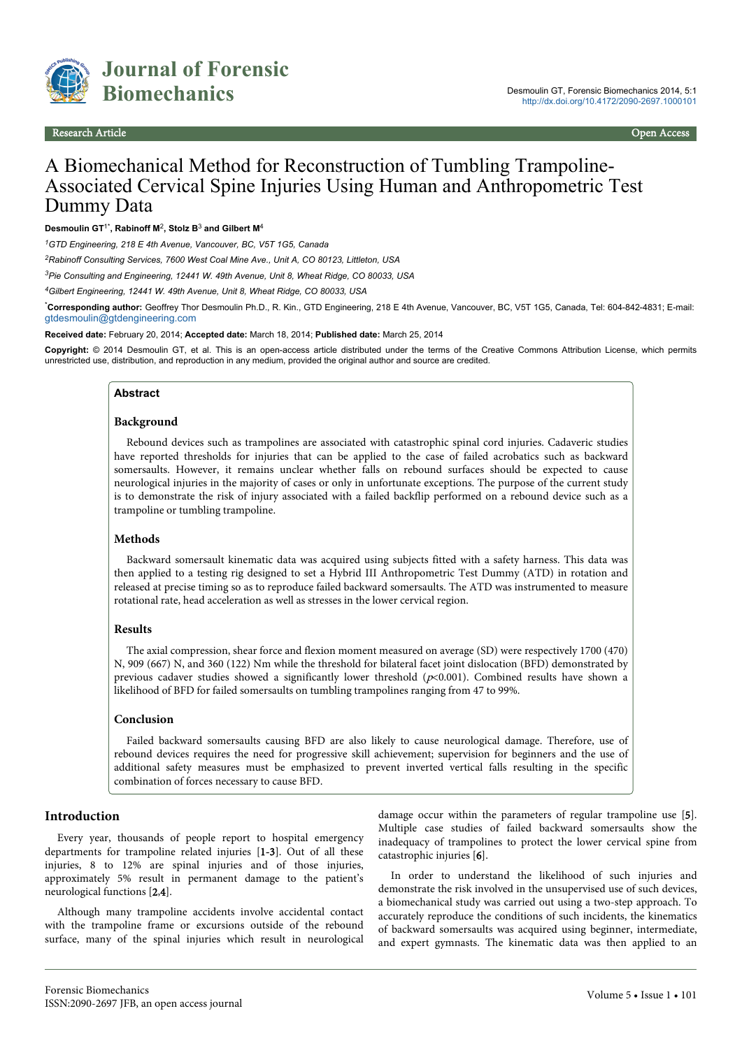

# A Biomechanical Method for Reconstruction of Tumbling Trampoline-Associated Cervical Spine Injuries Using Human and Anthropometric Test Dummy Data

**Desmoulin GT**1\***, Rabinoff M**<sup>2</sup> **, Stolz B**<sup>3</sup>  **and Gilbert M**<sup>4</sup>

*<sup>1</sup>GTD Engineering, 218 E 4th Avenue, Vancouver, BC, V5T 1G5, Canada*

*<sup>2</sup>Rabinoff Consulting Services, 7600 West Coal Mine Ave., Unit A, CO 80123, Littleton, USA*

*<sup>3</sup>Pie Consulting and Engineering, 12441 W. 49th Avenue, Unit 8, Wheat Ridge, CO 80033, USA*

*<sup>4</sup>Gilbert Engineering, 12441 W. 49th Avenue, Unit 8, Wheat Ridge, CO 80033, USA*

\***Corresponding author:** Geoffrey Thor Desmoulin Ph.D., R. Kin., GTD Engineering, 218 E 4th Avenue, Vancouver, BC, V5T 1G5, Canada, Tel: 604-842-4831; E-mail: [gtdesmoulin@gtdengineering.com](mailto:gtdesmoulin@gtdengineering.com)

**Received date:** February 20, 2014; **Accepted date:** March 18, 2014; **Published date:** March 25, 2014

**Copyright:** © 2014 Desmoulin GT, et al. This is an open-access article distributed under the terms of the Creative Commons Attribution License, which permits unrestricted use, distribution, and reproduction in any medium, provided the original author and source are credited.

#### **Abstract**

#### **Background**

Rebound devices such as trampolines are associated with catastrophic spinal cord injuries. Cadaveric studies have reported thresholds for injuries that can be applied to the case of failed acrobatics such as backward somersaults. However, it remains unclear whether falls on rebound surfaces should be expected to cause neurological injuries in the majority of cases or only in unfortunate exceptions. The purpose of the current study is to demonstrate the risk of injury associated with a failed backflip performed on a rebound device such as a trampoline or tumbling trampoline.

#### **Methods**

Backward somersault kinematic data was acquired using subjects fitted with a safety harness. This data was then applied to a testing rig designed to set a Hybrid III Anthropometric Test Dummy (ATD) in rotation and released at precise timing so as to reproduce failed backward somersaults. The ATD was instrumented to measure rotational rate, head acceleration as well as stresses in the lower cervical region.

#### **Results**

The axial compression, shear force and flexion moment measured on average (SD) were respectively 1700 (470) N, 909 (667) N, and 360 (122) Nm while the threshold for bilateral facet joint dislocation (BFD) demonstrated by previous cadaver studies showed a significantly lower threshold  $(p<0.001)$ . Combined results have shown a likelihood of BFD for failed somersaults on tumbling trampolines ranging from 47 to 99%.

#### **Conclusion**

Failed backward somersaults causing BFD are also likely to cause neurological damage. Therefore, use of rebound devices requires the need for progressive skill achievement; supervision for beginners and the use of additional safety measures must be emphasized to prevent inverted vertical falls resulting in the specific combination of forces necessary to cause BFD.

#### **Introduction**

Every year, thousands of people report to hospital emergency departments for trampoline related injuries [1-3]. Out of all these injuries, 8 to 12% are spinal injuries and of those injuries, approximately 5% result in permanent damage to the patient's neurological functions [2,4].

Although many trampoline accidents involve accidental contact with the trampoline frame or excursions outside of the rebound surface, many of the spinal injuries which result in neurological damage occur within the parameters of regular trampoline use [5]. Multiple case studies of failed backward somersaults show the inadequacy of trampolines to protect the lower cervical spine from catastrophic injuries [6].

In order to understand the likelihood of such injuries and demonstrate the risk involved in the unsupervised use of such devices, a biomechanical study was carried out using a two-step approach. To accurately reproduce the conditions of such incidents, the kinematics of backward somersaults was acquired using beginner, intermediate, and expert gymnasts. The kinematic data was then applied to an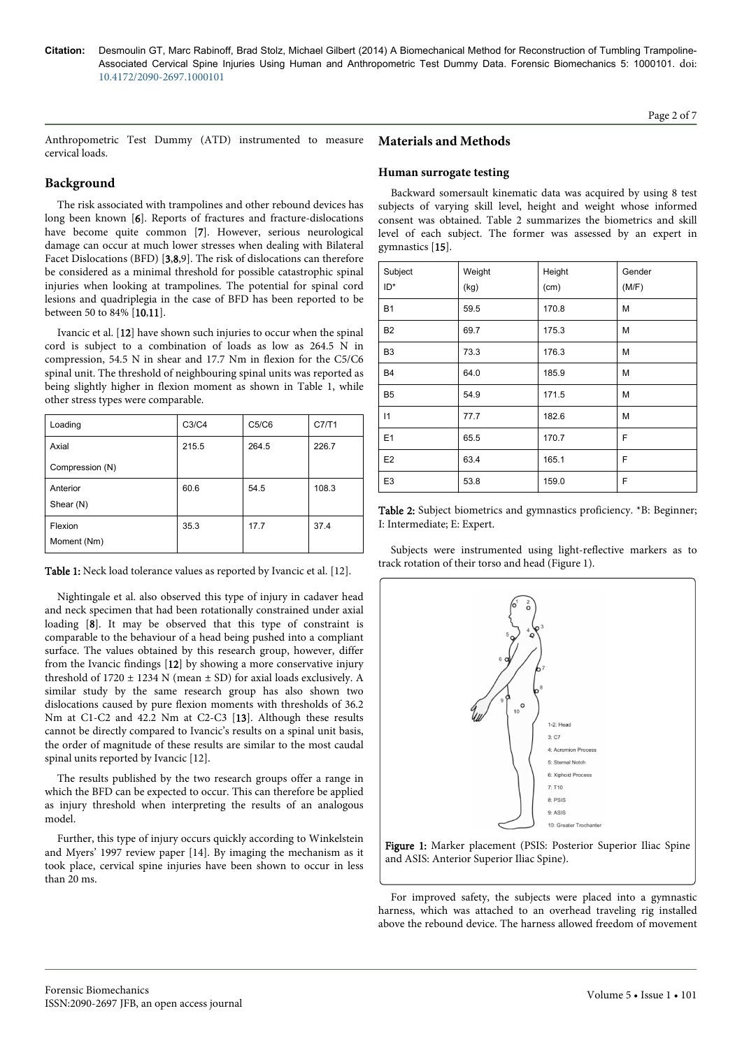Page 2 of 7

Anthropometric Test Dummy (ATD) instrumented to measure cervical loads.

# **Background**

The risk associated with trampolines and other rebound devices has long been known [6]. Reports of fractures and fracture-dislocations have become quite common [7]. However, serious neurological damage can occur at much lower stresses when dealing with Bilateral Facet Dislocations (BFD) [3,8,9]. The risk of dislocations can therefore be considered as a minimal threshold for possible catastrophic spinal injuries when looking at trampolines. The potential for spinal cord lesions and quadriplegia in the case of BFD has been reported to be between 50 to 84% [10,11].

Ivancic et al. [12] have shown such injuries to occur when the spinal cord is subject to a combination of loads as low as 264.5 N in compression, 54.5 N in shear and 17.7 Nm in flexion for the C5/C6 spinal unit. The threshold of neighbouring spinal units was reported as being slightly higher in flexion moment as shown in Table 1, while other stress types were comparable.

| Loading                | C3/C4 | C5/C6 | C7/T1 |
|------------------------|-------|-------|-------|
| Axial                  | 215.5 | 264.5 | 226.7 |
| Compression (N)        |       |       |       |
| Anterior<br>Shear (N)  | 60.6  | 54.5  | 108.3 |
| Flexion<br>Moment (Nm) | 35.3  | 17.7  | 37.4  |

| Table 1: Neck load tolerance values as reported by Ivancic et al. [12]. |  |
|-------------------------------------------------------------------------|--|
|-------------------------------------------------------------------------|--|

Nightingale et al. also observed this type of injury in cadaver head and neck specimen that had been rotationally constrained under axial loading [8]. It may be observed that this type of constraint is comparable to the behaviour of a head being pushed into a compliant surface. The values obtained by this research group, however, differ from the Ivancic findings [12] by showing a more conservative injury threshold of  $1720 \pm 1234$  N (mean  $\pm$  SD) for axial loads exclusively. A similar study by the same research group has also shown two dislocations caused by pure flexion moments with thresholds of 36.2 Nm at C1-C2 and 42.2 Nm at C2-C3 [13]. Although these results cannot be directly compared to Ivancic's results on a spinal unit basis, the order of magnitude of these results are similar to the most caudal spinal units reported by Ivancic [12].

The results published by the two research groups offer a range in which the BFD can be expected to occur. This can therefore be applied as injury threshold when interpreting the results of an analogous model.

Further, this type of injury occurs quickly according to Winkelstein and Myers' 1997 review paper [14]. By imaging the mechanism as it took place, cervical spine injuries have been shown to occur in less than 20 ms.

# **Materials and Methods**

#### **Human surrogate testing**

Backward somersault kinematic data was acquired by using 8 test subjects of varying skill level, height and weight whose informed consent was obtained. Table 2 summarizes the biometrics and skill level of each subject. The former was assessed by an expert in gymnastics [15].

| Subject<br>ID* | Weight<br>(kg) | Height<br>(cm) | Gender<br>(M/F) |
|----------------|----------------|----------------|-----------------|
| <b>B1</b>      | 59.5           | 170.8          | M               |
| B <sub>2</sub> | 69.7           | 175.3          | M               |
| B <sub>3</sub> | 73.3           | 176.3          | M               |
| <b>B4</b>      | 64.0           | 185.9          | M               |
| B <sub>5</sub> | 54.9           | 171.5          | M               |
| 11             | 77.7           | 182.6          | M               |
| E1             | 65.5           | 170.7          | F               |
| E <sub>2</sub> | 63.4           | 165.1          | F               |
| E <sub>3</sub> | 53.8           | 159.0          | F               |

Table 2: Subject biometrics and gymnastics proficiency. \*B: Beginner; I: Intermediate; E: Expert.

Subjects were instrumented using light-reflective markers as to track rotation of their torso and head (Figure 1).



Figure 1: Marker placement (PSIS: Posterior Superior Iliac Spine and ASIS: Anterior Superior Iliac Spine).

For improved safety, the subjects were placed into a gymnastic harness, which was attached to an overhead traveling rig installed above the rebound device. The harness allowed freedom of movement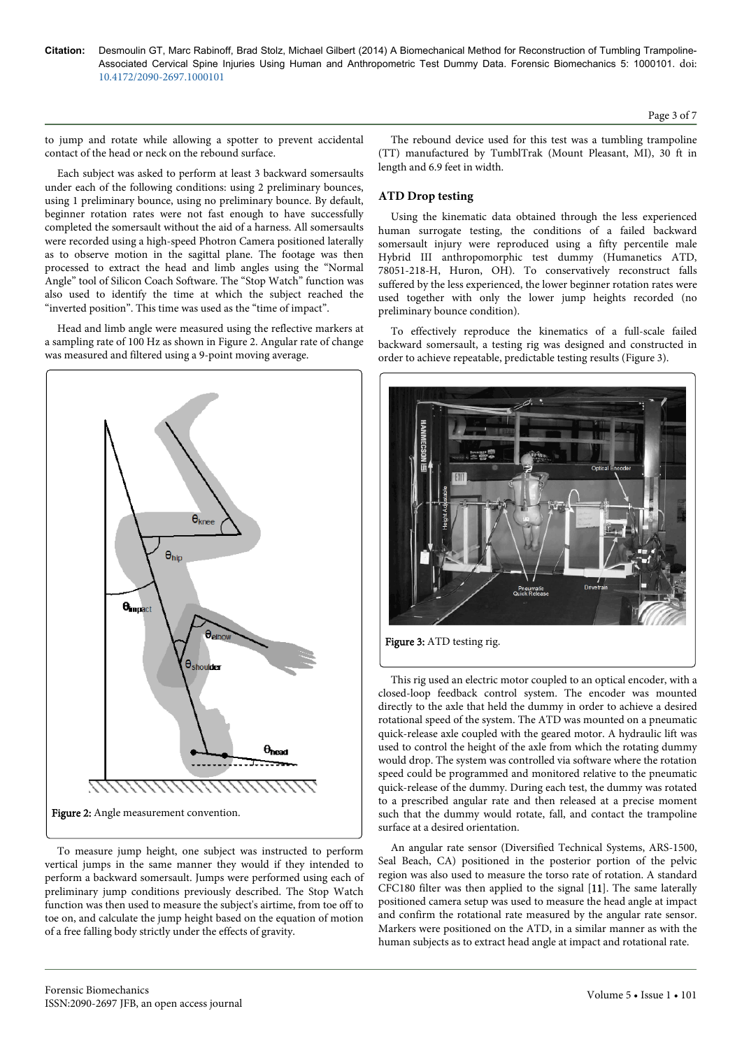to jump and rotate while allowing a spotter to prevent accidental contact of the head or neck on the rebound surface.

Each subject was asked to perform at least 3 backward somersaults under each of the following conditions: using 2 preliminary bounces, using 1 preliminary bounce, using no preliminary bounce. By default, beginner rotation rates were not fast enough to have successfully completed the somersault without the aid of a harness. All somersaults were recorded using a high-speed Photron Camera positioned laterally as to observe motion in the sagittal plane. The footage was then processed to extract the head and limb angles using the "Normal Angle" tool of Silicon Coach Software. The "Stop Watch" function was also used to identify the time at which the subject reached the "inverted position". This time was used as the "time of impact".

Head and limb angle were measured using the reflective markers at a sampling rate of 100 Hz as shown in Figure 2. Angular rate of change was measured and filtered using a 9-point moving average.



To measure jump height, one subject was instructed to perform vertical jumps in the same manner they would if they intended to perform a backward somersault. Jumps were performed using each of preliminary jump conditions previously described. The Stop Watch function was then used to measure the subject's airtime, from toe off to toe on, and calculate the jump height based on the equation of motion of a free falling body strictly under the effects of gravity.

The rebound device used for this test was a tumbling trampoline (TT) manufactured by TumblTrak (Mount Pleasant, MI), 30 ft in length and 6.9 feet in width.

#### **ATD Drop testing**

Using the kinematic data obtained through the less experienced human surrogate testing, the conditions of a failed backward somersault injury were reproduced using a fifty percentile male Hybrid III anthropomorphic test dummy (Humanetics ATD, 78051-218-H, Huron, OH). To conservatively reconstruct falls suffered by the less experienced, the lower beginner rotation rates were used together with only the lower jump heights recorded (no preliminary bounce condition).

To effectively reproduce the kinematics of a full-scale failed backward somersault, a testing rig was designed and constructed in order to achieve repeatable, predictable testing results (Figure 3).



Figure 3: ATD testing rig.

This rig used an electric motor coupled to an optical encoder, with a closed-loop feedback control system. The encoder was mounted directly to the axle that held the dummy in order to achieve a desired rotational speed of the system. The ATD was mounted on a pneumatic quick-release axle coupled with the geared motor. A hydraulic lift was used to control the height of the axle from which the rotating dummy would drop. The system was controlled via software where the rotation speed could be programmed and monitored relative to the pneumatic quick-release of the dummy. During each test, the dummy was rotated to a prescribed angular rate and then released at a precise moment such that the dummy would rotate, fall, and contact the trampoline surface at a desired orientation.

An angular rate sensor (Diversified Technical Systems, ARS-1500, Seal Beach, CA) positioned in the posterior portion of the pelvic region was also used to measure the torso rate of rotation. A standard CFC180 filter was then applied to the signal [11]. The same laterally positioned camera setup was used to measure the head angle at impact and confirm the rotational rate measured by the angular rate sensor. Markers were positioned on the ATD, in a similar manner as with the human subjects as to extract head angle at impact and rotational rate.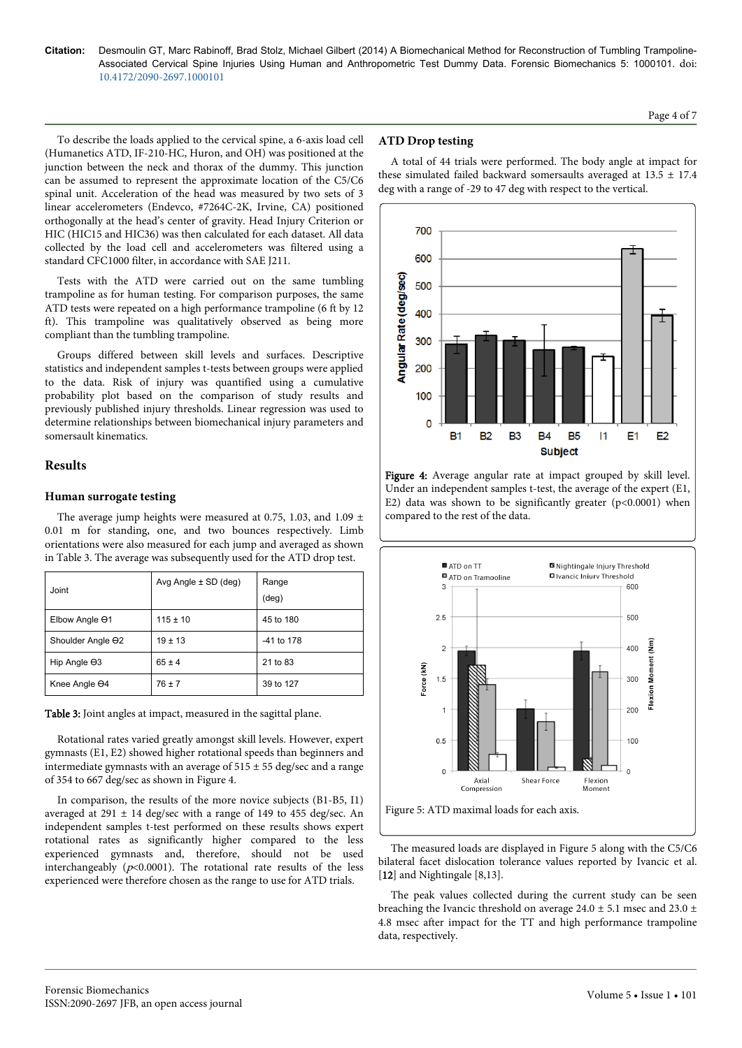Page 4 of 7

To describe the loads applied to the cervical spine, a 6-axis load cell (Humanetics ATD, IF-210-HC, Huron, and OH) was positioned at the junction between the neck and thorax of the dummy. This junction can be assumed to represent the approximate location of the C5/C6 spinal unit. Acceleration of the head was measured by two sets of 3 linear accelerometers (Endevco, #7264C-2K, Irvine, CA) positioned orthogonally at the head's center of gravity. Head Injury Criterion or HIC (HIC15 and HIC36) was then calculated for each dataset. All data collected by the load cell and accelerometers was filtered using a standard CFC1000 filter, in accordance with SAE J211.

Tests with the ATD were carried out on the same tumbling trampoline as for human testing. For comparison purposes, the same ATD tests were repeated on a high performance trampoline (6 ft by 12 ft). This trampoline was qualitatively observed as being more compliant than the tumbling trampoline.

Groups differed between skill levels and surfaces. Descriptive statistics and independent samples t-tests between groups were applied to the data. Risk of injury was quantified using a cumulative probability plot based on the comparison of study results and previously published injury thresholds. Linear regression was used to determine relationships between biomechanical injury parameters and somersault kinematics.

# **Results**

### **Human surrogate testing**

The average jump heights were measured at 0.75, 1.03, and 1.09  $\pm$ 0.01 m for standing, one, and two bounces respectively. Limb orientations were also measured for each jump and averaged as shown in Table 3. The average was subsequently used for the ATD drop test.

| Joint                | Avg Angle $\pm$ SD (deg) | Range<br>$(\text{deg})$ |
|----------------------|--------------------------|-------------------------|
| Elbow Angle 01       | $115 \pm 10$             | 45 to 180               |
| Shoulder Angle 02    | $19 \pm 13$              | -41 to 178              |
| Hip Angle $\Theta$ 3 | $65 \pm 4$               | 21 to 83                |
| Knee Angle 04        | $76 \pm 7$               | 39 to 127               |

Table 3: Joint angles at impact, measured in the sagittal plane.

Rotational rates varied greatly amongst skill levels. However, expert gymnasts (E1, E2) showed higher rotational speeds than beginners and intermediate gymnasts with an average of  $515 \pm 55$  deg/sec and a range of 354 to 667 deg/sec as shown in Figure 4.

In comparison, the results of the more novice subjects (B1-B5, I1) averaged at 291  $\pm$  14 deg/sec with a range of 149 to 455 deg/sec. An independent samples t-test performed on these results shows expert rotational rates as significantly higher compared to the less experienced gymnasts and, therefore, should not be used interchangeably ( $p<0.0001$ ). The rotational rate results of the less experienced were therefore chosen as the range to use for ATD trials.

### **ATD Drop testing**

A total of 44 trials were performed. The body angle at impact for these simulated failed backward somersaults averaged at  $13.5 \pm 17.4$ deg with a range of -29 to 47 deg with respect to the vertical.



Figure 4: Average angular rate at impact grouped by skill level. Under an independent samples t-test, the average of the expert (E1, E2) data was shown to be significantly greater  $(p<0.0001)$  when compared to the rest of the data.



The measured loads are displayed in Figure 5 along with the C5/C6 bilateral facet dislocation tolerance values reported by Ivancic et al. [12] and Nightingale [8,13].

The peak values collected during the current study can be seen breaching the Ivancic threshold on average  $24.0 \pm 5.1$  msec and  $23.0 \pm 1.1$ 4.8 msec after impact for the TT and high performance trampoline data, respectively.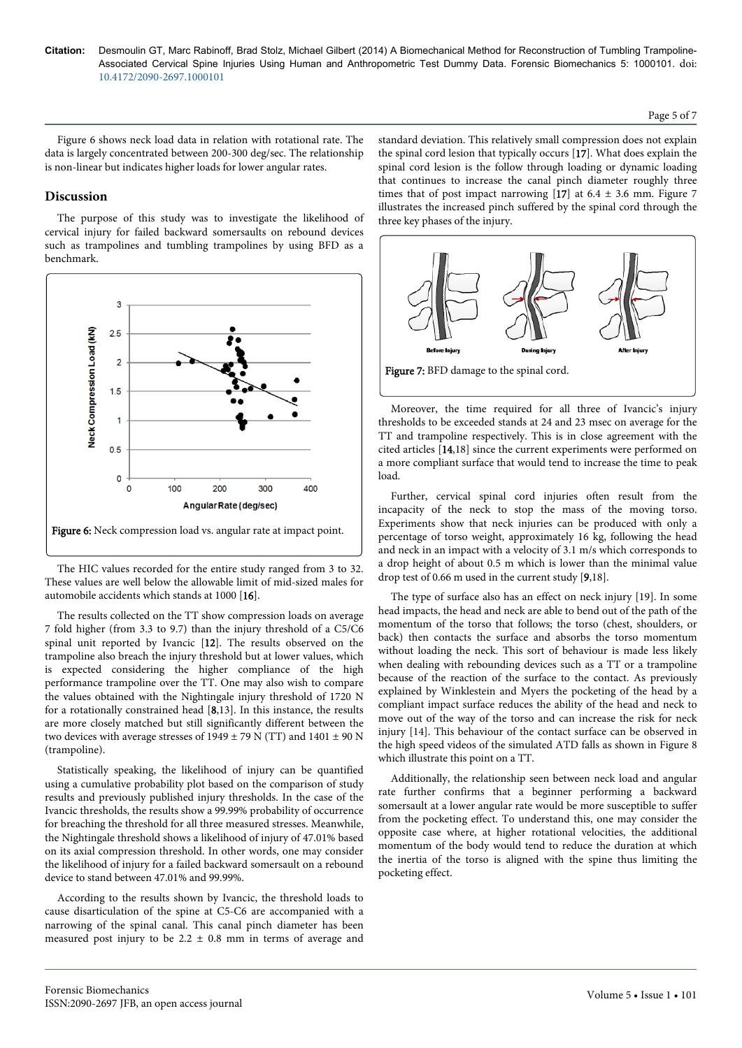Figure 6 shows neck load data in relation with rotational rate. The data is largely concentrated between 200-300 deg/sec. The relationship is non-linear but indicates higher loads for lower angular rates.

# **Discussion**

The purpose of this study was to investigate the likelihood of cervical injury for failed backward somersaults on rebound devices such as trampolines and tumbling trampolines by using BFD as a benchmark.



The HIC values recorded for the entire study ranged from 3 to 32. These values are well below the allowable limit of mid-sized males for automobile accidents which stands at 1000 [16].

The results collected on the TT show compression loads on average 7 fold higher (from 3.3 to 9.7) than the injury threshold of a C5/C6 spinal unit reported by Ivancic [12]. The results observed on the trampoline also breach the injury threshold but at lower values, which is expected considering the higher compliance of the high performance trampoline over the TT. One may also wish to compare the values obtained with the Nightingale injury threshold of 1720 N for a rotationally constrained head [8,13]. In this instance, the results are more closely matched but still significantly different between the two devices with average stresses of  $1949 \pm 79$  N (TT) and  $1401 \pm 90$  N (trampoline).

Statistically speaking, the likelihood of injury can be quantified using a cumulative probability plot based on the comparison of study results and previously published injury thresholds. In the case of the Ivancic thresholds, the results show a 99.99% probability of occurrence for breaching the threshold for all three measured stresses. Meanwhile, the Nightingale threshold shows a likelihood of injury of 47.01% based on its axial compression threshold. In other words, one may consider the likelihood of injury for a failed backward somersault on a rebound device to stand between 47.01% and 99.99%.

According to the results shown by Ivancic, the threshold loads to cause disarticulation of the spine at C5-C6 are accompanied with a narrowing of the spinal canal. This canal pinch diameter has been measured post injury to be  $2.2 \pm 0.8$  mm in terms of average and standard deviation. This relatively small compression does not explain the spinal cord lesion that typically occurs [17]. What does explain the spinal cord lesion is the follow through loading or dynamic loading that continues to increase the canal pinch diameter roughly three times that of post impact narrowing  $[17]$  at 6.4  $\pm$  3.6 mm. Figure 7 illustrates the increased pinch suffered by the spinal cord through the three key phases of the injury.



Moreover, the time required for all three of Ivancic's injury thresholds to be exceeded stands at 24 and 23 msec on average for the TT and trampoline respectively. This is in close agreement with the cited articles [14,18] since the current experiments were performed on a more compliant surface that would tend to increase the time to peak load.

Further, cervical spinal cord injuries often result from the incapacity of the neck to stop the mass of the moving torso. Experiments show that neck injuries can be produced with only a percentage of torso weight, approximately 16 kg, following the head and neck in an impact with a velocity of 3.1 m/s which corresponds to a drop height of about 0.5 m which is lower than the minimal value drop test of 0.66 m used in the current study [9,18].

The type of surface also has an effect on neck injury [19]. In some head impacts, the head and neck are able to bend out of the path of the momentum of the torso that follows; the torso (chest, shoulders, or back) then contacts the surface and absorbs the torso momentum without loading the neck. This sort of behaviour is made less likely when dealing with rebounding devices such as a TT or a trampoline because of the reaction of the surface to the contact. As previously explained by Winklestein and Myers the pocketing of the head by a compliant impact surface reduces the ability of the head and neck to move out of the way of the torso and can increase the risk for neck injury [14]. This behaviour of the contact surface can be observed in the high speed videos of the simulated ATD falls as shown in Figure 8 which illustrate this point on a TT.

Additionally, the relationship seen between neck load and angular rate further confirms that a beginner performing a backward somersault at a lower angular rate would be more susceptible to suffer from the pocketing effect. To understand this, one may consider the opposite case where, at higher rotational velocities, the additional momentum of the body would tend to reduce the duration at which the inertia of the torso is aligned with the spine thus limiting the pocketing effect.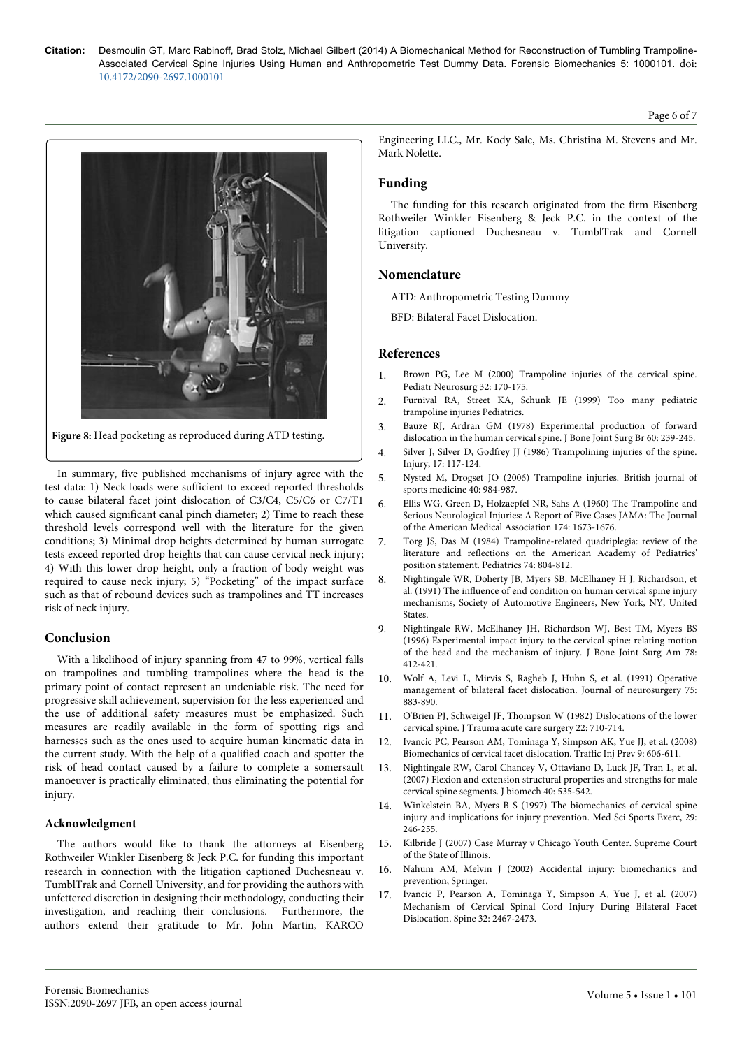# litigation captioned Duchesneau v. TumblTrak and Cornell University. **Nomenclature** ATD: Anthropometric Testing Dummy

BFD: Bilateral Facet Dislocation.

# **References**

Mark Nolette.

**Funding**

1. [Brown PG, Lee M \(2000\) Trampoline injuries of the cervical spine.](http://www.ncbi.nlm.nih.gov/pubmed/10940766) [Pediatr Neurosurg 32: 170-175.](http://www.ncbi.nlm.nih.gov/pubmed/10940766)

The funding for this research originated from the firm Eisenberg Rothweiler Winkler Eisenberg & Jeck P.C. in the context of the

- 2. [Furnival RA, Street KA, Schunk JE \(1999\) Too many pediatric](http://www.ncbi.nlm.nih.gov/pubmed/10224201) [trampoline injuries Pediatrics.](http://www.ncbi.nlm.nih.gov/pubmed/10224201)
- 3. [Bauze RJ, Ardran GM \(1978\) Experimental production of forward](http://www.ncbi.nlm.nih.gov/pubmed/659473) [dislocation in the human cervical spine. J Bone Joint Surg Br 60: 239-245.](http://www.ncbi.nlm.nih.gov/pubmed/659473)
- 4. [Silver J, Silver D, Godfrey JJ \(1986\) Trampolining injuries of the spine.](http://www.ncbi.nlm.nih.gov/pubmed/3770899) [Injury, 17: 117-124](http://www.ncbi.nlm.nih.gov/pubmed/3770899).
- 5. Nysted M, Drogset JO (2006) Trampoline injuries. British journal of sports medicine 40: 984-987.
- 6. [Ellis WG, Green D, Holzaepfel NR, Sahs A \(1960\) The Trampoline and](http://jama.jamanetwork.com/article.aspx?articleid=329864) [Serious Neurological Injuries: A Report of Five Cases JAMA: The Journal](http://jama.jamanetwork.com/article.aspx?articleid=329864) [of the American Medical Association 174: 1673-1676.](http://jama.jamanetwork.com/article.aspx?articleid=329864)
- 7. [Torg JS, Das M \(1984\) Trampoline-related quadriplegia: review of the](http://www.ncbi.nlm.nih.gov/pubmed/6493874) [literature and reflections on the American Academy of Pediatrics'](http://www.ncbi.nlm.nih.gov/pubmed/6493874) [position statement. Pediatrics 74: 804-812.](http://www.ncbi.nlm.nih.gov/pubmed/6493874)
- 8. [Nightingale WR, Doherty JB, Myers SB, McElhaney H J, Richardson, et](http://papers.sae.org/912915/) [al. \(1991\) The influence of end condition on human cervical spine injury](http://papers.sae.org/912915/) [mechanisms, Society of Automotive Engineers, New York, NY, United](http://papers.sae.org/912915/) **States**
- 9. [Nightingale RW, McElhaney JH, Richardson WJ, Best TM, Myers BS](http://www.ncbi.nlm.nih.gov/pubmed/8613449) [\(1996\) Experimental impact injury to the cervical spine: relating motion](http://www.ncbi.nlm.nih.gov/pubmed/8613449) [of the head and the mechanism of injury. J Bone Joint Surg Am 78:](http://www.ncbi.nlm.nih.gov/pubmed/8613449) [412-421.](http://www.ncbi.nlm.nih.gov/pubmed/8613449)
- 10. [Wolf A, Levi L, Mirvis S, Ragheb J, Huhn S, et al. \(1991\) Operative](http://www.ncbi.nlm.nih.gov/pubmed/1941117) [management of bilateral facet dislocation. Journal of neurosurgery 75:](http://www.ncbi.nlm.nih.gov/pubmed/1941117) [883-890.](http://www.ncbi.nlm.nih.gov/pubmed/1941117)
- 11. [O'Brien PJ, Schweigel JF, Thompson W \(1982\) Dislocations of the lower](http://journals.lww.com/jtrauma/Abstract/1982/08000/Dislocations_of_the_Lower_Cervical_Spine.12.aspx) [cervical spine. J Trauma acute care surgery 22: 710-714.](http://journals.lww.com/jtrauma/Abstract/1982/08000/Dislocations_of_the_Lower_Cervical_Spine.12.aspx)
- 12. [Ivancic PC, Pearson AM, Tominaga Y, Simpson AK, Yue JJ, et al. \(2008\)](http://www.ncbi.nlm.nih.gov/pubmed/19058109) [Biomechanics of cervical facet dislocation. Traffic Inj Prev 9: 606-611.](http://www.ncbi.nlm.nih.gov/pubmed/19058109)
- 13. [Nightingale RW, Carol Chancey V, Ottaviano D, Luck JF, Tran L, et al.](http://www.ncbi.nlm.nih.gov/pubmed/16620838) [\(2007\) Flexion and extension structural properties and strengths for male](http://www.ncbi.nlm.nih.gov/pubmed/16620838) [cervical spine segments. J biomech 40: 535-542.](http://www.ncbi.nlm.nih.gov/pubmed/16620838)
- 14. [Winkelstein BA, Myers B S \(1997\) The biomechanics of cervical spine](http://www.ncbi.nlm.nih.gov/pubmed/9247922) [injury and implications for injury prevention. Med Sci Sports Exerc, 29:](http://www.ncbi.nlm.nih.gov/pubmed/9247922) [246-255.](http://www.ncbi.nlm.nih.gov/pubmed/9247922)
- 15. [Kilbride J \(2007\) Case Murray v Chicago Youth Center. Supreme Court](http://cases.laws.com/illinois/illinois-sc-murray-v-chicago-youth-center) [of the State of Illinois.](http://cases.laws.com/illinois/illinois-sc-murray-v-chicago-youth-center)
- 16. Nahum AM, Melvin J (2002) Accidental injury: biomechanics and prevention, Springer.
- 17. [Ivancic P, Pearson A, Tominaga Y, Simpson A, Yue J, et al. \(2007\)](http://www.ncbi.nlm.nih.gov/pubmed/18090087) [Mechanism of Cervical Spinal Cord Injury During Bilateral Facet](http://www.ncbi.nlm.nih.gov/pubmed/18090087) [Dislocation. Spine 32: 2467-2473.](http://www.ncbi.nlm.nih.gov/pubmed/18090087)

# Figure 8: Head pocketing as reproduced during ATD testing.

In summary, five published mechanisms of injury agree with the test data: 1) Neck loads were sufficient to exceed reported thresholds to cause bilateral facet joint dislocation of C3/C4, C5/C6 or C7/T1 which caused significant canal pinch diameter; 2) Time to reach these threshold levels correspond well with the literature for the given conditions; 3) Minimal drop heights determined by human surrogate tests exceed reported drop heights that can cause cervical neck injury; 4) With this lower drop height, only a fraction of body weight was required to cause neck injury; 5) "Pocketing" of the impact surface such as that of rebound devices such as trampolines and TT increases risk of neck injury.

# **Conclusion**

With a likelihood of injury spanning from 47 to 99%, vertical falls on trampolines and tumbling trampolines where the head is the primary point of contact represent an undeniable risk. The need for progressive skill achievement, supervision for the less experienced and the use of additional safety measures must be emphasized. Such measures are readily available in the form of spotting rigs and harnesses such as the ones used to acquire human kinematic data in the current study. With the help of a qualified coach and spotter the risk of head contact caused by a failure to complete a somersault manoeuver is practically eliminated, thus eliminating the potential for injury.

# **Acknowledgment**

The authors would like to thank the attorneys at Eisenberg Rothweiler Winkler Eisenberg & Jeck P.C. for funding this important research in connection with the litigation captioned Duchesneau v. TumblTrak and Cornell University, and for providing the authors with unfettered discretion in designing their methodology, conducting their investigation, and reaching their conclusions. Furthermore, the authors extend their gratitude to Mr. John Martin, KARCO

Engineering LLC., Mr. Kody Sale, Ms. Christina M. Stevens and Mr.

Page 6 of 7